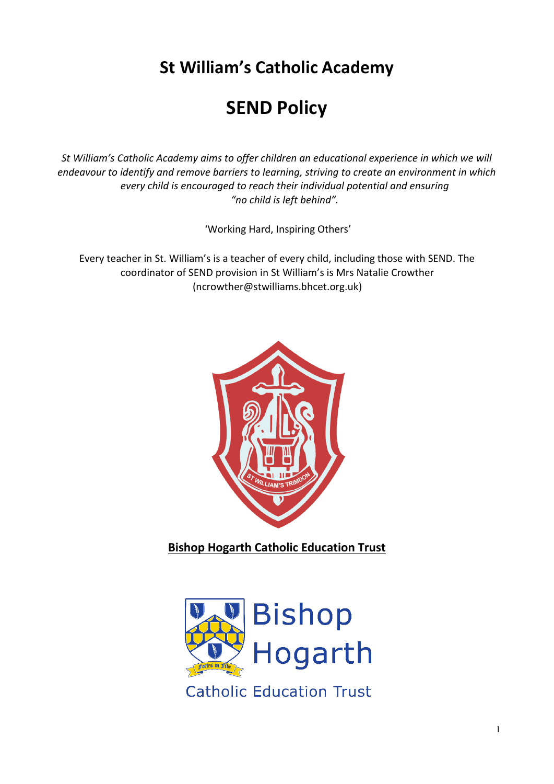**St William's Catholic Academy** 

# **SEND Policy**

*St William's Catholic Academy aims to offer children an educational experience in which we will endeavour to identify and remove barriers to learning, striving to create an environment in which every child is encouraged to reach their individual potential and ensuring "no child is left behind".*

'Working Hard, Inspiring Others'

Every teacher in St. William's is a teacher of every child, including those with SEND. The coordinator of SEND provision in St William's is Mrs Natalie Crowther (ncrowther@stwilliams.bhcet.org.uk)



**Bishop Hogarth Catholic Education Trust** 

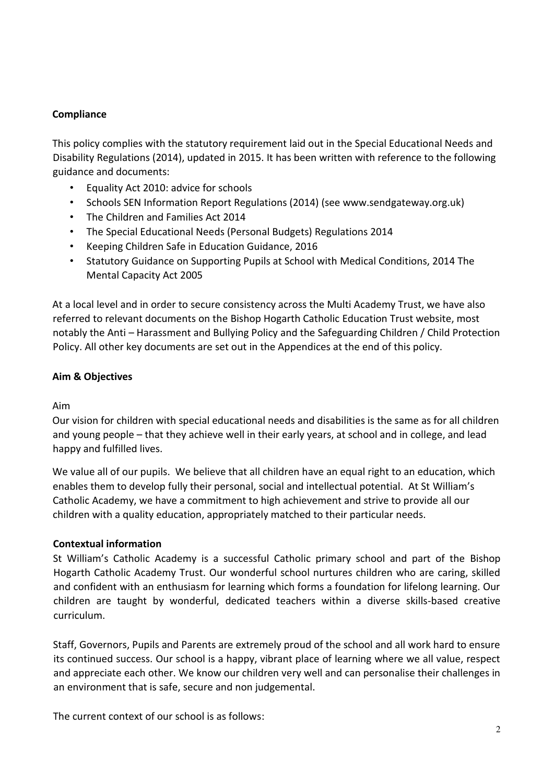## **Compliance**

This policy complies with the statutory requirement laid out in the Special Educational Needs and Disability Regulations (2014), updated in 2015. It has been written with reference to the following guidance and documents:

- Equality Act 2010: advice for schools
- Schools SEN Information Report Regulations (2014) (see www.sendgateway.org.uk)
- The Children and Families Act 2014
- The Special Educational Needs (Personal Budgets) Regulations 2014
- Keeping Children Safe in Education Guidance, 2016
- Statutory Guidance on Supporting Pupils at School with Medical Conditions, 2014 The Mental Capacity Act 2005

At a local level and in order to secure consistency across the Multi Academy Trust, we have also referred to relevant documents on the Bishop Hogarth Catholic Education Trust website, most notably the Anti – Harassment and Bullying Policy and the Safeguarding Children / Child Protection Policy. All other key documents are set out in the Appendices at the end of this policy.

## **Aim & Objectives**

## Aim

Our vision for children with special educational needs and disabilities is the same as for all children and young people – that they achieve well in their early years, at school and in college, and lead happy and fulfilled lives.

We value all of our pupils. We believe that all children have an equal right to an education, which enables them to develop fully their personal, social and intellectual potential. At St William's Catholic Academy, we have a commitment to high achievement and strive to provide all our children with a quality education, appropriately matched to their particular needs.

## **Contextual information**

St William's Catholic Academy is a successful Catholic primary school and part of the Bishop Hogarth Catholic Academy Trust. Our wonderful school nurtures children who are caring, skilled and confident with an enthusiasm for learning which forms a foundation for lifelong learning. Our children are taught by wonderful, dedicated teachers within a diverse skills-based creative curriculum.

Staff, Governors, Pupils and Parents are extremely proud of the school and all work hard to ensure its continued success. Our school is a happy, vibrant place of learning where we all value, respect and appreciate each other. We know our children very well and can personalise their challenges in an environment that is safe, secure and non judgemental.

The current context of our school is as follows: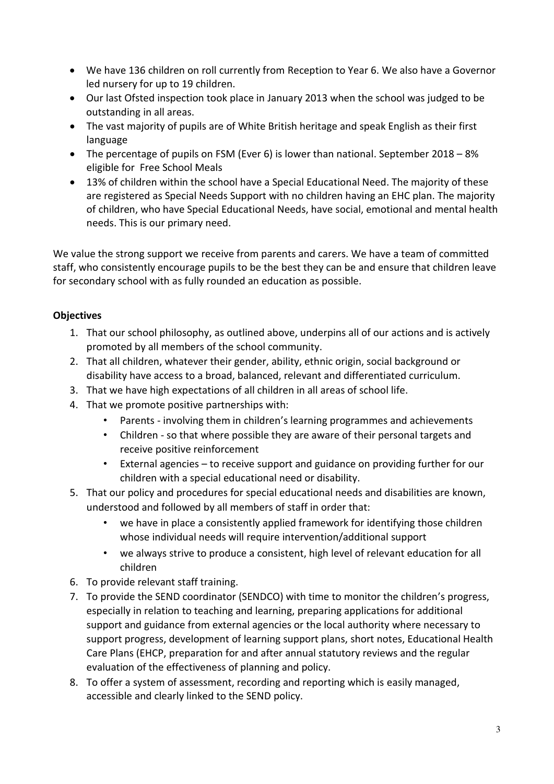- We have 136 children on roll currently from Reception to Year 6. We also have a Governor led nursery for up to 19 children.
- Our last Ofsted inspection took place in January 2013 when the school was judged to be outstanding in all areas.
- The vast majority of pupils are of White British heritage and speak English as their first language
- The percentage of pupils on FSM (Ever 6) is lower than national. September 2018 8% eligible for Free School Meals
- 13% of children within the school have a Special Educational Need. The majority of these are registered as Special Needs Support with no children having an EHC plan. The majority of children, who have Special Educational Needs, have social, emotional and mental health needs. This is our primary need.

We value the strong support we receive from parents and carers. We have a team of committed staff, who consistently encourage pupils to be the best they can be and ensure that children leave for secondary school with as fully rounded an education as possible.

# **Objectives**

- 1. That our school philosophy, as outlined above, underpins all of our actions and is actively promoted by all members of the school community.
- 2. That all children, whatever their gender, ability, ethnic origin, social background or disability have access to a broad, balanced, relevant and differentiated curriculum.
- 3. That we have high expectations of all children in all areas of school life.
- 4. That we promote positive partnerships with:
	- Parents involving them in children's learning programmes and achievements
	- Children so that where possible they are aware of their personal targets and receive positive reinforcement
	- External agencies to receive support and guidance on providing further for our children with a special educational need or disability.
- 5. That our policy and procedures for special educational needs and disabilities are known, understood and followed by all members of staff in order that:
	- we have in place a consistently applied framework for identifying those children whose individual needs will require intervention/additional support
	- we always strive to produce a consistent, high level of relevant education for all children
- 6. To provide relevant staff training.
- 7. To provide the SEND coordinator (SENDCO) with time to monitor the children's progress, especially in relation to teaching and learning, preparing applications for additional support and guidance from external agencies or the local authority where necessary to support progress, development of learning support plans, short notes, Educational Health Care Plans (EHCP, preparation for and after annual statutory reviews and the regular evaluation of the effectiveness of planning and policy.
- 8. To offer a system of assessment, recording and reporting which is easily managed, accessible and clearly linked to the SEND policy.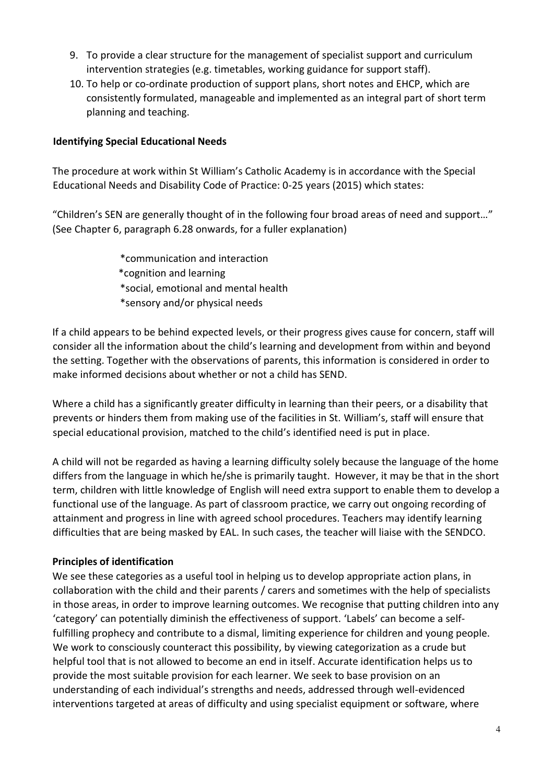- 9. To provide a clear structure for the management of specialist support and curriculum intervention strategies (e.g. timetables, working guidance for support staff).
- 10. To help or co-ordinate production of support plans, short notes and EHCP, which are consistently formulated, manageable and implemented as an integral part of short term planning and teaching.

## **Identifying Special Educational Needs**

The procedure at work within St William's Catholic Academy is in accordance with the Special Educational Needs and Disability Code of Practice: 0-25 years (2015) which states:

"Children's SEN are generally thought of in the following four broad areas of need and support…" (See Chapter 6, paragraph 6.28 onwards, for a fuller explanation)

> \*communication and interaction \*cognition and learning \*social, emotional and mental health \*sensory and/or physical needs

If a child appears to be behind expected levels, or their progress gives cause for concern, staff will consider all the information about the child's learning and development from within and beyond the setting. Together with the observations of parents, this information is considered in order to make informed decisions about whether or not a child has SEND.

Where a child has a significantly greater difficulty in learning than their peers, or a disability that prevents or hinders them from making use of the facilities in St. William's, staff will ensure that special educational provision, matched to the child's identified need is put in place.

A child will not be regarded as having a learning difficulty solely because the language of the home differs from the language in which he/she is primarily taught. However, it may be that in the short term, children with little knowledge of English will need extra support to enable them to develop a functional use of the language. As part of classroom practice, we carry out ongoing recording of attainment and progress in line with agreed school procedures. Teachers may identify learning difficulties that are being masked by EAL. In such cases, the teacher will liaise with the SENDCO.

## **Principles of identification**

We see these categories as a useful tool in helping us to develop appropriate action plans, in collaboration with the child and their parents / carers and sometimes with the help of specialists in those areas, in order to improve learning outcomes. We recognise that putting children into any 'category' can potentially diminish the effectiveness of support. 'Labels' can become a selffulfilling prophecy and contribute to a dismal, limiting experience for children and young people. We work to consciously counteract this possibility, by viewing categorization as a crude but helpful tool that is not allowed to become an end in itself. Accurate identification helps us to provide the most suitable provision for each learner. We seek to base provision on an understanding of each individual's strengths and needs, addressed through well-evidenced interventions targeted at areas of difficulty and using specialist equipment or software, where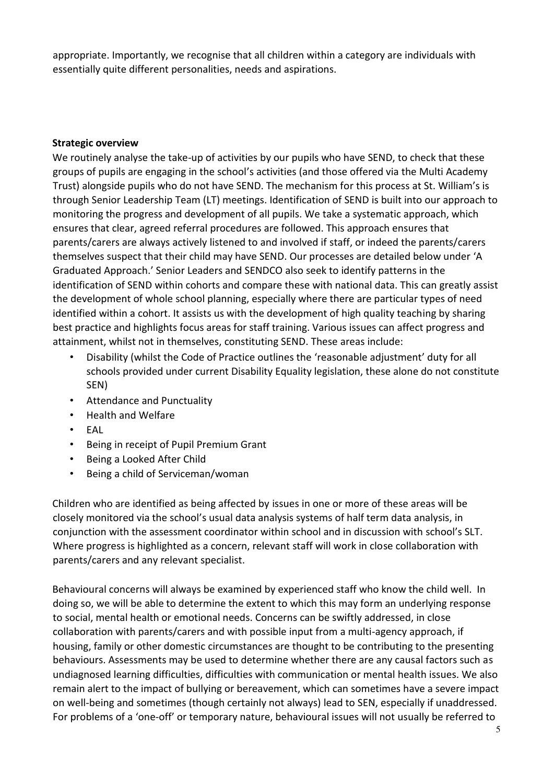appropriate. Importantly, we recognise that all children within a category are individuals with essentially quite different personalities, needs and aspirations.

#### **Strategic overview**

We routinely analyse the take-up of activities by our pupils who have SEND, to check that these groups of pupils are engaging in the school's activities (and those offered via the Multi Academy Trust) alongside pupils who do not have SEND. The mechanism for this process at St. William's is through Senior Leadership Team (LT) meetings. Identification of SEND is built into our approach to monitoring the progress and development of all pupils. We take a systematic approach, which ensures that clear, agreed referral procedures are followed. This approach ensures that parents/carers are always actively listened to and involved if staff, or indeed the parents/carers themselves suspect that their child may have SEND. Our processes are detailed below under 'A Graduated Approach.' Senior Leaders and SENDCO also seek to identify patterns in the identification of SEND within cohorts and compare these with national data. This can greatly assist the development of whole school planning, especially where there are particular types of need identified within a cohort. It assists us with the development of high quality teaching by sharing best practice and highlights focus areas for staff training. Various issues can affect progress and attainment, whilst not in themselves, constituting SEND. These areas include:

- Disability (whilst the Code of Practice outlines the 'reasonable adjustment' duty for all schools provided under current Disability Equality legislation, these alone do not constitute SEN)
- Attendance and Punctuality
- Health and Welfare
- EAL
- Being in receipt of Pupil Premium Grant
- Being a Looked After Child
- Being a child of Serviceman/woman

Children who are identified as being affected by issues in one or more of these areas will be closely monitored via the school's usual data analysis systems of half term data analysis, in conjunction with the assessment coordinator within school and in discussion with school's SLT. Where progress is highlighted as a concern, relevant staff will work in close collaboration with parents/carers and any relevant specialist.

Behavioural concerns will always be examined by experienced staff who know the child well. In doing so, we will be able to determine the extent to which this may form an underlying response to social, mental health or emotional needs. Concerns can be swiftly addressed, in close collaboration with parents/carers and with possible input from a multi-agency approach, if housing, family or other domestic circumstances are thought to be contributing to the presenting behaviours. Assessments may be used to determine whether there are any causal factors such as undiagnosed learning difficulties, difficulties with communication or mental health issues. We also remain alert to the impact of bullying or bereavement, which can sometimes have a severe impact on well-being and sometimes (though certainly not always) lead to SEN, especially if unaddressed. For problems of a 'one-off' or temporary nature, behavioural issues will not usually be referred to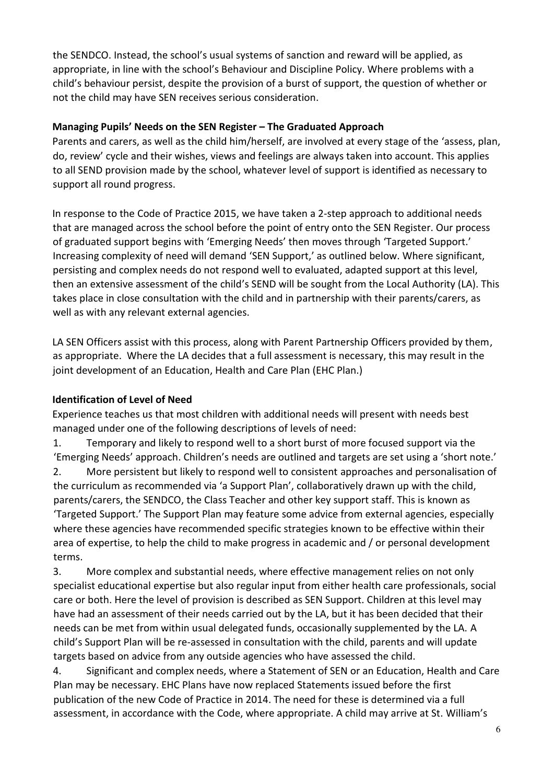the SENDCO. Instead, the school's usual systems of sanction and reward will be applied, as appropriate, in line with the school's Behaviour and Discipline Policy. Where problems with a child's behaviour persist, despite the provision of a burst of support, the question of whether or not the child may have SEN receives serious consideration.

## **Managing Pupils' Needs on the SEN Register – The Graduated Approach**

Parents and carers, as well as the child him/herself, are involved at every stage of the 'assess, plan, do, review' cycle and their wishes, views and feelings are always taken into account. This applies to all SEND provision made by the school, whatever level of support is identified as necessary to support all round progress.

In response to the Code of Practice 2015, we have taken a 2-step approach to additional needs that are managed across the school before the point of entry onto the SEN Register. Our process of graduated support begins with 'Emerging Needs' then moves through 'Targeted Support.' Increasing complexity of need will demand 'SEN Support,' as outlined below. Where significant, persisting and complex needs do not respond well to evaluated, adapted support at this level, then an extensive assessment of the child's SEND will be sought from the Local Authority (LA). This takes place in close consultation with the child and in partnership with their parents/carers, as well as with any relevant external agencies.

LA SEN Officers assist with this process, along with Parent Partnership Officers provided by them, as appropriate. Where the LA decides that a full assessment is necessary, this may result in the joint development of an Education, Health and Care Plan (EHC Plan.)

## **Identification of Level of Need**

Experience teaches us that most children with additional needs will present with needs best managed under one of the following descriptions of levels of need:

1. Temporary and likely to respond well to a short burst of more focused support via the 'Emerging Needs' approach. Children's needs are outlined and targets are set using a 'short note.' 2. More persistent but likely to respond well to consistent approaches and personalisation of the curriculum as recommended via 'a Support Plan', collaboratively drawn up with the child, parents/carers, the SENDCO, the Class Teacher and other key support staff. This is known as 'Targeted Support.' The Support Plan may feature some advice from external agencies, especially where these agencies have recommended specific strategies known to be effective within their area of expertise, to help the child to make progress in academic and / or personal development terms.

3. More complex and substantial needs, where effective management relies on not only specialist educational expertise but also regular input from either health care professionals, social care or both. Here the level of provision is described as SEN Support. Children at this level may have had an assessment of their needs carried out by the LA, but it has been decided that their needs can be met from within usual delegated funds, occasionally supplemented by the LA. A child's Support Plan will be re-assessed in consultation with the child, parents and will update targets based on advice from any outside agencies who have assessed the child.

4. Significant and complex needs, where a Statement of SEN or an Education, Health and Care Plan may be necessary. EHC Plans have now replaced Statements issued before the first publication of the new Code of Practice in 2014. The need for these is determined via a full assessment, in accordance with the Code, where appropriate. A child may arrive at St. William's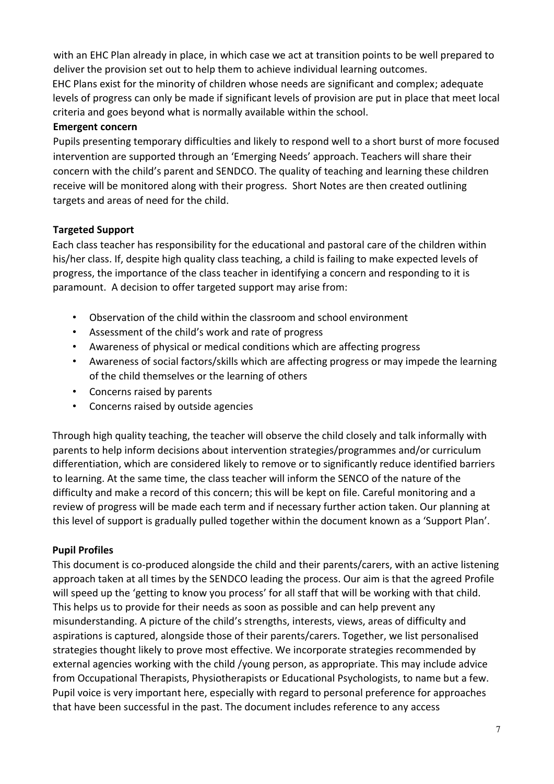with an EHC Plan already in place, in which case we act at transition points to be well prepared to deliver the provision set out to help them to achieve individual learning outcomes. EHC Plans exist for the minority of children whose needs are significant and complex; adequate levels of progress can only be made if significant levels of provision are put in place that meet local criteria and goes beyond what is normally available within the school.

#### **Emergent concern**

Pupils presenting temporary difficulties and likely to respond well to a short burst of more focused intervention are supported through an 'Emerging Needs' approach. Teachers will share their concern with the child's parent and SENDCO. The quality of teaching and learning these children receive will be monitored along with their progress. Short Notes are then created outlining targets and areas of need for the child.

## **Targeted Support**

Each class teacher has responsibility for the educational and pastoral care of the children within his/her class. If, despite high quality class teaching, a child is failing to make expected levels of progress, the importance of the class teacher in identifying a concern and responding to it is paramount. A decision to offer targeted support may arise from:

- Observation of the child within the classroom and school environment
- Assessment of the child's work and rate of progress
- Awareness of physical or medical conditions which are affecting progress
- Awareness of social factors/skills which are affecting progress or may impede the learning of the child themselves or the learning of others
- Concerns raised by parents
- Concerns raised by outside agencies

Through high quality teaching, the teacher will observe the child closely and talk informally with parents to help inform decisions about intervention strategies/programmes and/or curriculum differentiation, which are considered likely to remove or to significantly reduce identified barriers to learning. At the same time, the class teacher will inform the SENCO of the nature of the difficulty and make a record of this concern; this will be kept on file. Careful monitoring and a review of progress will be made each term and if necessary further action taken. Our planning at this level of support is gradually pulled together within the document known as a 'Support Plan'.

## **Pupil Profiles**

This document is co-produced alongside the child and their parents/carers, with an active listening approach taken at all times by the SENDCO leading the process. Our aim is that the agreed Profile will speed up the 'getting to know you process' for all staff that will be working with that child. This helps us to provide for their needs as soon as possible and can help prevent any misunderstanding. A picture of the child's strengths, interests, views, areas of difficulty and aspirations is captured, alongside those of their parents/carers. Together, we list personalised strategies thought likely to prove most effective. We incorporate strategies recommended by external agencies working with the child /young person, as appropriate. This may include advice from Occupational Therapists, Physiotherapists or Educational Psychologists, to name but a few. Pupil voice is very important here, especially with regard to personal preference for approaches that have been successful in the past. The document includes reference to any access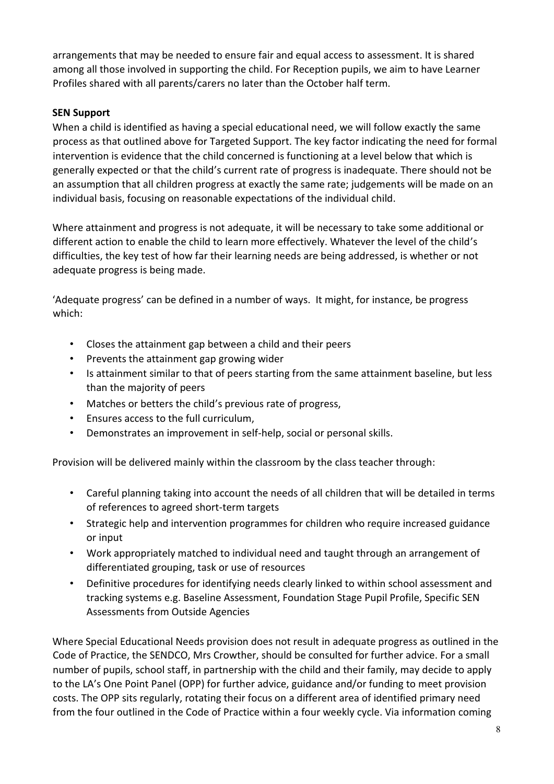arrangements that may be needed to ensure fair and equal access to assessment. It is shared among all those involved in supporting the child. For Reception pupils, we aim to have Learner Profiles shared with all parents/carers no later than the October half term.

## **SEN Support**

When a child is identified as having a special educational need, we will follow exactly the same process as that outlined above for Targeted Support. The key factor indicating the need for formal intervention is evidence that the child concerned is functioning at a level below that which is generally expected or that the child's current rate of progress is inadequate. There should not be an assumption that all children progress at exactly the same rate; judgements will be made on an individual basis, focusing on reasonable expectations of the individual child.

Where attainment and progress is not adequate, it will be necessary to take some additional or different action to enable the child to learn more effectively. Whatever the level of the child's difficulties, the key test of how far their learning needs are being addressed, is whether or not adequate progress is being made.

'Adequate progress' can be defined in a number of ways. It might, for instance, be progress which:

- Closes the attainment gap between a child and their peers
- Prevents the attainment gap growing wider
- Is attainment similar to that of peers starting from the same attainment baseline, but less than the majority of peers
- Matches or betters the child's previous rate of progress,
- Ensures access to the full curriculum,
- Demonstrates an improvement in self-help, social or personal skills.

Provision will be delivered mainly within the classroom by the class teacher through:

- Careful planning taking into account the needs of all children that will be detailed in terms of references to agreed short-term targets
- Strategic help and intervention programmes for children who require increased guidance or input
- Work appropriately matched to individual need and taught through an arrangement of differentiated grouping, task or use of resources
- Definitive procedures for identifying needs clearly linked to within school assessment and tracking systems e.g. Baseline Assessment, Foundation Stage Pupil Profile, Specific SEN Assessments from Outside Agencies

Where Special Educational Needs provision does not result in adequate progress as outlined in the Code of Practice, the SENDCO, Mrs Crowther, should be consulted for further advice. For a small number of pupils, school staff, in partnership with the child and their family, may decide to apply to the LA's One Point Panel (OPP) for further advice, guidance and/or funding to meet provision costs. The OPP sits regularly, rotating their focus on a different area of identified primary need from the four outlined in the Code of Practice within a four weekly cycle. Via information coming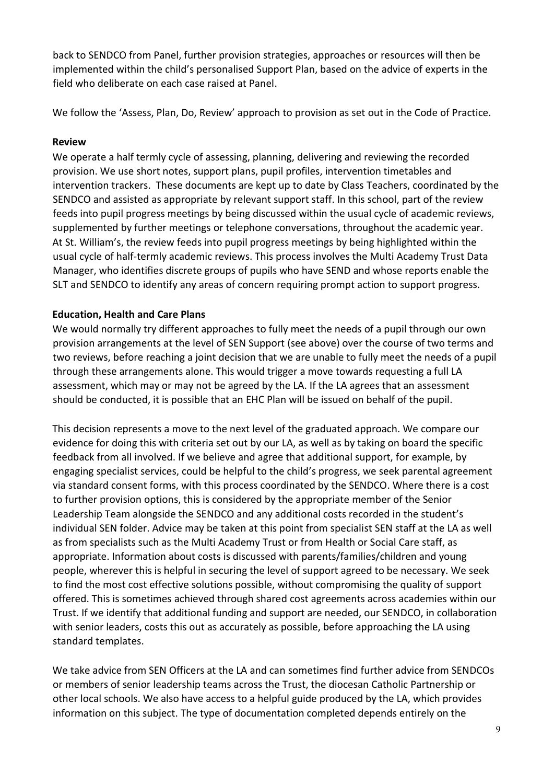back to SENDCO from Panel, further provision strategies, approaches or resources will then be implemented within the child's personalised Support Plan, based on the advice of experts in the field who deliberate on each case raised at Panel.

We follow the 'Assess, Plan, Do, Review' approach to provision as set out in the Code of Practice.

#### **Review**

We operate a half termly cycle of assessing, planning, delivering and reviewing the recorded provision. We use short notes, support plans, pupil profiles, intervention timetables and intervention trackers. These documents are kept up to date by Class Teachers, coordinated by the SENDCO and assisted as appropriate by relevant support staff. In this school, part of the review feeds into pupil progress meetings by being discussed within the usual cycle of academic reviews, supplemented by further meetings or telephone conversations, throughout the academic year. At St. William's, the review feeds into pupil progress meetings by being highlighted within the usual cycle of half-termly academic reviews. This process involves the Multi Academy Trust Data Manager, who identifies discrete groups of pupils who have SEND and whose reports enable the SLT and SENDCO to identify any areas of concern requiring prompt action to support progress.

## **Education, Health and Care Plans**

We would normally try different approaches to fully meet the needs of a pupil through our own provision arrangements at the level of SEN Support (see above) over the course of two terms and two reviews, before reaching a joint decision that we are unable to fully meet the needs of a pupil through these arrangements alone. This would trigger a move towards requesting a full LA assessment, which may or may not be agreed by the LA. If the LA agrees that an assessment should be conducted, it is possible that an EHC Plan will be issued on behalf of the pupil.

This decision represents a move to the next level of the graduated approach. We compare our evidence for doing this with criteria set out by our LA, as well as by taking on board the specific feedback from all involved. If we believe and agree that additional support, for example, by engaging specialist services, could be helpful to the child's progress, we seek parental agreement via standard consent forms, with this process coordinated by the SENDCO. Where there is a cost to further provision options, this is considered by the appropriate member of the Senior Leadership Team alongside the SENDCO and any additional costs recorded in the student's individual SEN folder. Advice may be taken at this point from specialist SEN staff at the LA as well as from specialists such as the Multi Academy Trust or from Health or Social Care staff, as appropriate. Information about costs is discussed with parents/families/children and young people, wherever this is helpful in securing the level of support agreed to be necessary. We seek to find the most cost effective solutions possible, without compromising the quality of support offered. This is sometimes achieved through shared cost agreements across academies within our Trust. If we identify that additional funding and support are needed, our SENDCO, in collaboration with senior leaders, costs this out as accurately as possible, before approaching the LA using standard templates.

We take advice from SEN Officers at the LA and can sometimes find further advice from SENDCOs or members of senior leadership teams across the Trust, the diocesan Catholic Partnership or other local schools. We also have access to a helpful guide produced by the LA, which provides information on this subject. The type of documentation completed depends entirely on the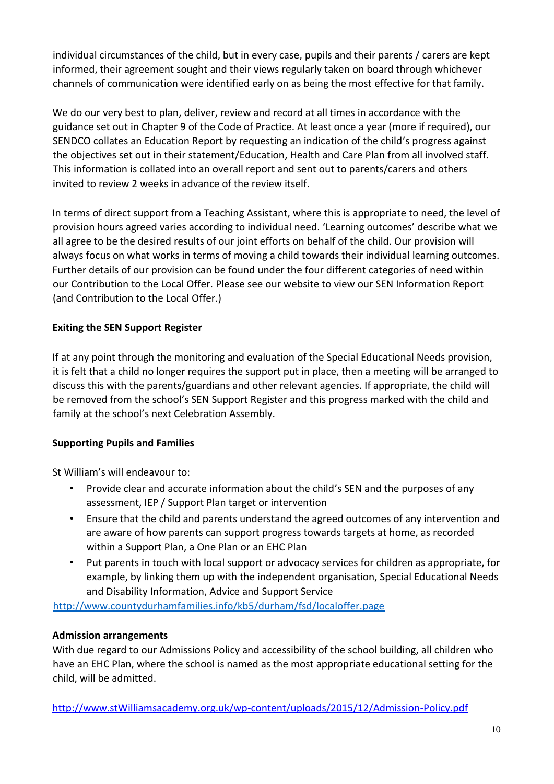individual circumstances of the child, but in every case, pupils and their parents / carers are kept informed, their agreement sought and their views regularly taken on board through whichever channels of communication were identified early on as being the most effective for that family.

We do our very best to plan, deliver, review and record at all times in accordance with the guidance set out in Chapter 9 of the Code of Practice. At least once a year (more if required), our SENDCO collates an Education Report by requesting an indication of the child's progress against the objectives set out in their statement/Education, Health and Care Plan from all involved staff. This information is collated into an overall report and sent out to parents/carers and others invited to review 2 weeks in advance of the review itself.

In terms of direct support from a Teaching Assistant, where this is appropriate to need, the level of provision hours agreed varies according to individual need. 'Learning outcomes' describe what we all agree to be the desired results of our joint efforts on behalf of the child. Our provision will always focus on what works in terms of moving a child towards their individual learning outcomes. Further details of our provision can be found under the four different categories of need within our Contribution to the Local Offer. Please see our website to view our SEN Information Report (and Contribution to the Local Offer.)

# **Exiting the SEN Support Register**

If at any point through the monitoring and evaluation of the Special Educational Needs provision, it is felt that a child no longer requires the support put in place, then a meeting will be arranged to discuss this with the parents/guardians and other relevant agencies. If appropriate, the child will be removed from the school's SEN Support Register and this progress marked with the child and family at the school's next Celebration Assembly.

## **Supporting Pupils and Families**

St William's will endeavour to:

- Provide clear and accurate information about the child's SEN and the purposes of any assessment, IEP / Support Plan target or intervention
- Ensure that the child and parents understand the agreed outcomes of any intervention and are aware of how parents can support progress towards targets at home, as recorded within a Support Plan, a One Plan or an EHC Plan
- Put parents in touch with local support or advocacy services for children as appropriate, for example, by linking them up with the independent organisation, Special Educational Needs and Disability Information, Advice and Support Service

<http://www.countydurhamfamilies.info/kb5/durham/fsd/localoffer.page>

## **Admission arrangements**

With due regard to our Admissions Policy and accessibility of the school building, all children who have an EHC Plan, where the school is named as the most appropriate educational setting for the child, will be admitted.

[http://www.stWilliamsacademy.org.uk/wp-content/uploads/2015/12/Admission-Policy.pdf](http://www.stgregorysacademy.org.uk/wp-content/uploads/2015/12/Admission-Policy.pdf)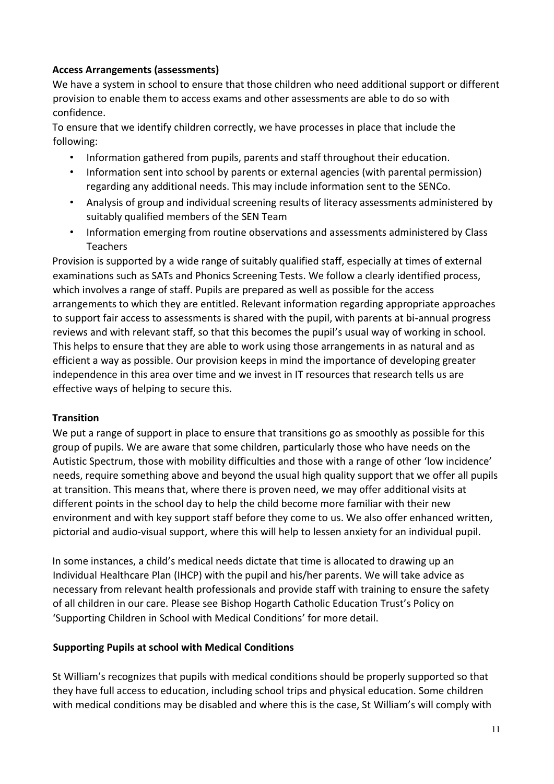## **Access Arrangements (assessments)**

We have a system in school to ensure that those children who need additional support or different provision to enable them to access exams and other assessments are able to do so with confidence.

To ensure that we identify children correctly, we have processes in place that include the following:

- Information gathered from pupils, parents and staff throughout their education.
- Information sent into school by parents or external agencies (with parental permission) regarding any additional needs. This may include information sent to the SENCo.
- Analysis of group and individual screening results of literacy assessments administered by suitably qualified members of the SEN Team
- Information emerging from routine observations and assessments administered by Class Teachers

Provision is supported by a wide range of suitably qualified staff, especially at times of external examinations such as SATs and Phonics Screening Tests. We follow a clearly identified process, which involves a range of staff. Pupils are prepared as well as possible for the access arrangements to which they are entitled. Relevant information regarding appropriate approaches to support fair access to assessments is shared with the pupil, with parents at bi-annual progress reviews and with relevant staff, so that this becomes the pupil's usual way of working in school. This helps to ensure that they are able to work using those arrangements in as natural and as efficient a way as possible. Our provision keeps in mind the importance of developing greater independence in this area over time and we invest in IT resources that research tells us are effective ways of helping to secure this.

## **Transition**

We put a range of support in place to ensure that transitions go as smoothly as possible for this group of pupils. We are aware that some children, particularly those who have needs on the Autistic Spectrum, those with mobility difficulties and those with a range of other 'low incidence' needs, require something above and beyond the usual high quality support that we offer all pupils at transition. This means that, where there is proven need, we may offer additional visits at different points in the school day to help the child become more familiar with their new environment and with key support staff before they come to us. We also offer enhanced written, pictorial and audio-visual support, where this will help to lessen anxiety for an individual pupil.

In some instances, a child's medical needs dictate that time is allocated to drawing up an Individual Healthcare Plan (IHCP) with the pupil and his/her parents. We will take advice as necessary from relevant health professionals and provide staff with training to ensure the safety of all children in our care. Please see Bishop Hogarth Catholic Education Trust's Policy on 'Supporting Children in School with Medical Conditions' for more detail.

## **Supporting Pupils at school with Medical Conditions**

St William's recognizes that pupils with medical conditions should be properly supported so that they have full access to education, including school trips and physical education. Some children with medical conditions may be disabled and where this is the case, St William's will comply with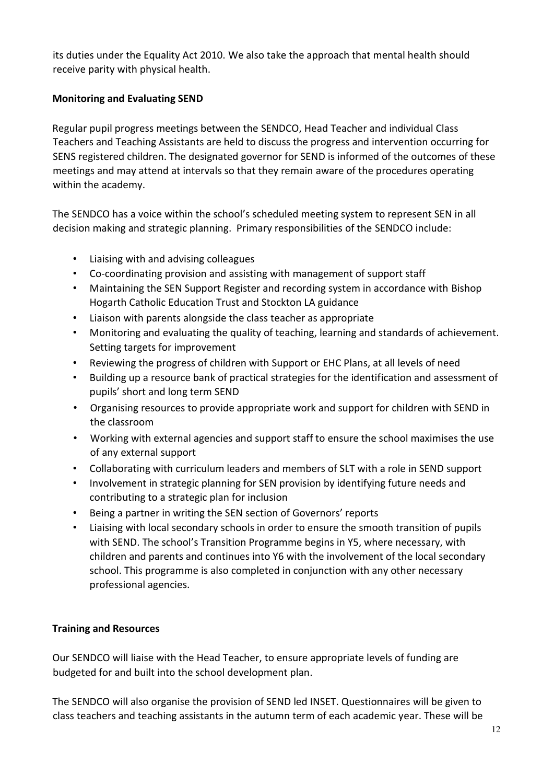its duties under the Equality Act 2010. We also take the approach that mental health should receive parity with physical health.

## **Monitoring and Evaluating SEND**

Regular pupil progress meetings between the SENDCO, Head Teacher and individual Class Teachers and Teaching Assistants are held to discuss the progress and intervention occurring for SENS registered children. The designated governor for SEND is informed of the outcomes of these meetings and may attend at intervals so that they remain aware of the procedures operating within the academy.

The SENDCO has a voice within the school's scheduled meeting system to represent SEN in all decision making and strategic planning. Primary responsibilities of the SENDCO include:

- Liaising with and advising colleagues
- Co-coordinating provision and assisting with management of support staff
- Maintaining the SEN Support Register and recording system in accordance with Bishop Hogarth Catholic Education Trust and Stockton LA guidance
- Liaison with parents alongside the class teacher as appropriate
- Monitoring and evaluating the quality of teaching, learning and standards of achievement. Setting targets for improvement
- Reviewing the progress of children with Support or EHC Plans, at all levels of need
- Building up a resource bank of practical strategies for the identification and assessment of pupils' short and long term SEND
- Organising resources to provide appropriate work and support for children with SEND in the classroom
- Working with external agencies and support staff to ensure the school maximises the use of any external support
- Collaborating with curriculum leaders and members of SLT with a role in SEND support
- Involvement in strategic planning for SEN provision by identifying future needs and contributing to a strategic plan for inclusion
- Being a partner in writing the SEN section of Governors' reports
- Liaising with local secondary schools in order to ensure the smooth transition of pupils with SEND. The school's Transition Programme begins in Y5, where necessary, with children and parents and continues into Y6 with the involvement of the local secondary school. This programme is also completed in conjunction with any other necessary professional agencies.

## **Training and Resources**

Our SENDCO will liaise with the Head Teacher, to ensure appropriate levels of funding are budgeted for and built into the school development plan.

The SENDCO will also organise the provision of SEND led INSET. Questionnaires will be given to class teachers and teaching assistants in the autumn term of each academic year. These will be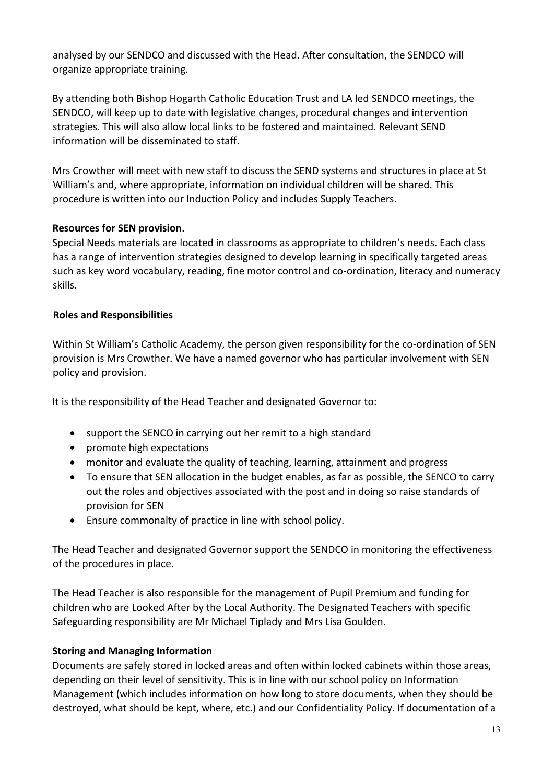analysed by our SENDCO and discussed with the Head. After consultation, the SENDCO will organize appropriate training.

By attending both Bishop Hogarth Catholic Education Trust and LA led SENDCO meetings, the SENDCO, will keep up to date with legislative changes, procedural changes and intervention strategies. This will also allow local links to be fostered and maintained. Relevant SEND information will be disseminated to staff.

Mrs Crowther will meet with new staff to discuss the SEND systems and structures in place at St William's and, where appropriate, information on individual children will be shared. This procedure is written into our Induction Policy and includes Supply Teachers.

## **Resources for SEN provision.**

Special Needs materials are located in classrooms as appropriate to children's needs. Each class has a range of intervention strategies designed to develop learning in specifically targeted areas such as key word vocabulary, reading, fine motor control and co-ordination, literacy and numeracy skills.

## **Roles and Responsibilities**

Within St William's Catholic Academy, the person given responsibility for the co-ordination of SEN provision is Mrs Crowther. We have a named governor who has particular involvement with SEN policy and provision.

It is the responsibility of the Head Teacher and designated Governor to:

- support the SENCO in carrying out her remit to a high standard
- promote high expectations
- monitor and evaluate the quality of teaching, learning, attainment and progress
- To ensure that SEN allocation in the budget enables, as far as possible, the SENCO to carry out the roles and objectives associated with the post and in doing so raise standards of provision for SEN
- Ensure commonalty of practice in line with school policy.

The Head Teacher and designated Governor support the SENDCO in monitoring the effectiveness of the procedures in place.

The Head Teacher is also responsible for the management of Pupil Premium and funding for children who are Looked After by the Local Authority. The Designated Teachers with specific Safeguarding responsibility are Mr Michael Tiplady and Mrs Lisa Goulden.

## **Storing and Managing Information**

Documents are safely stored in locked areas and often within locked cabinets within those areas, depending on their level of sensitivity. This is in line with our school policy on Information Management (which includes information on how long to store documents, when they should be destroyed, what should be kept, where, etc.) and our Confidentiality Policy. If documentation of a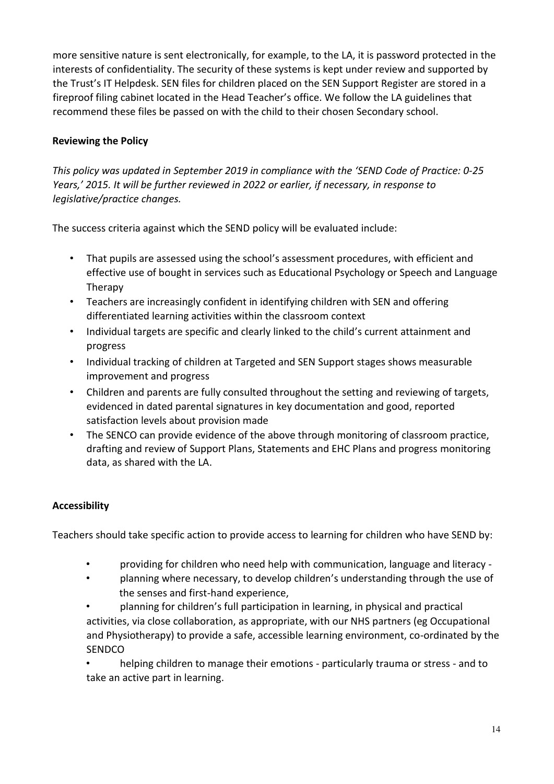more sensitive nature is sent electronically, for example, to the LA, it is password protected in the interests of confidentiality. The security of these systems is kept under review and supported by the Trust's IT Helpdesk. SEN files for children placed on the SEN Support Register are stored in a fireproof filing cabinet located in the Head Teacher's office. We follow the LA guidelines that recommend these files be passed on with the child to their chosen Secondary school.

## **Reviewing the Policy**

*This policy was updated in September 2019 in compliance with the 'SEND Code of Practice: 0-25 Years,' 2015. It will be further reviewed in 2022 or earlier, if necessary, in response to legislative/practice changes.* 

The success criteria against which the SEND policy will be evaluated include:

- That pupils are assessed using the school's assessment procedures, with efficient and effective use of bought in services such as Educational Psychology or Speech and Language Therapy
- Teachers are increasingly confident in identifying children with SEN and offering differentiated learning activities within the classroom context
- Individual targets are specific and clearly linked to the child's current attainment and progress
- Individual tracking of children at Targeted and SEN Support stages shows measurable improvement and progress
- Children and parents are fully consulted throughout the setting and reviewing of targets, evidenced in dated parental signatures in key documentation and good, reported satisfaction levels about provision made
- The SENCO can provide evidence of the above through monitoring of classroom practice, drafting and review of Support Plans, Statements and EHC Plans and progress monitoring data, as shared with the LA.

## **Accessibility**

Teachers should take specific action to provide access to learning for children who have SEND by:

- providing for children who need help with communication, language and literacy -
- planning where necessary, to develop children's understanding through the use of the senses and first-hand experience,
- planning for children's full participation in learning, in physical and practical activities, via close collaboration, as appropriate, with our NHS partners (eg Occupational and Physiotherapy) to provide a safe, accessible learning environment, co-ordinated by the **SENDCO**

• helping children to manage their emotions - particularly trauma or stress - and to take an active part in learning.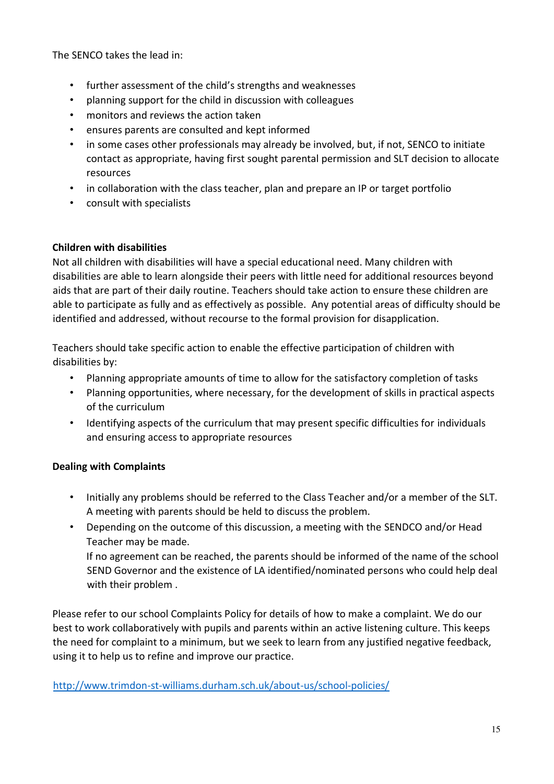The SENCO takes the lead in:

- further assessment of the child's strengths and weaknesses
- planning support for the child in discussion with colleagues
- monitors and reviews the action taken
- ensures parents are consulted and kept informed
- in some cases other professionals may already be involved, but, if not, SENCO to initiate contact as appropriate, having first sought parental permission and SLT decision to allocate resources
- in collaboration with the class teacher, plan and prepare an IP or target portfolio
- consult with specialists

## **Children with disabilities**

Not all children with disabilities will have a special educational need. Many children with disabilities are able to learn alongside their peers with little need for additional resources beyond aids that are part of their daily routine. Teachers should take action to ensure these children are able to participate as fully and as effectively as possible. Any potential areas of difficulty should be identified and addressed, without recourse to the formal provision for disapplication.

Teachers should take specific action to enable the effective participation of children with disabilities by:

- Planning appropriate amounts of time to allow for the satisfactory completion of tasks
- Planning opportunities, where necessary, for the development of skills in practical aspects of the curriculum
- Identifying aspects of the curriculum that may present specific difficulties for individuals and ensuring access to appropriate resources

## **Dealing with Complaints**

- Initially any problems should be referred to the Class Teacher and/or a member of the SLT. A meeting with parents should be held to discuss the problem.
- Depending on the outcome of this discussion, a meeting with the SENDCO and/or Head Teacher may be made.

If no agreement can be reached, the parents should be informed of the name of the school SEND Governor and the existence of LA identified/nominated persons who could help deal with their problem .

Please refer to our school Complaints Policy for details of how to make a complaint. We do our best to work collaboratively with pupils and parents within an active listening culture. This keeps the need for complaint to a minimum, but we seek to learn from any justified negative feedback, using it to help us to refine and improve our practice.

<http://www.trimdon-st-williams.durham.sch.uk/about-us/school-policies/>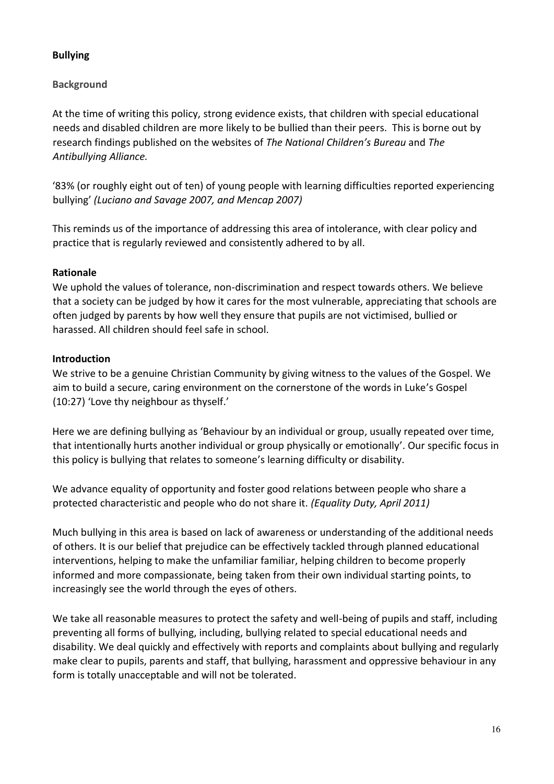## **Bullying**

## **Background**

At the time of writing this policy, strong evidence exists, that children with special educational needs and disabled children are more likely to be bullied than their peers. This is borne out by research findings published on the websites of *The National Children's Bureau* and *The Antibullying Alliance.* 

'83% (or roughly eight out of ten) of young people with learning difficulties reported experiencing bullying' *(Luciano and Savage 2007, and Mencap 2007)*

This reminds us of the importance of addressing this area of intolerance, with clear policy and practice that is regularly reviewed and consistently adhered to by all.

## **Rationale**

We uphold the values of tolerance, non-discrimination and respect towards others. We believe that a society can be judged by how it cares for the most vulnerable, appreciating that schools are often judged by parents by how well they ensure that pupils are not victimised, bullied or harassed. All children should feel safe in school.

## **Introduction**

We strive to be a genuine Christian Community by giving witness to the values of the Gospel. We aim to build a secure, caring environment on the cornerstone of the words in Luke's Gospel (10:27) 'Love thy neighbour as thyself.'

Here we are defining bullying as 'Behaviour by an individual or group, usually repeated over time, that intentionally hurts another individual or group physically or emotionally'. Our specific focus in this policy is bullying that relates to someone's learning difficulty or disability.

We advance equality of opportunity and foster good relations between people who share a protected characteristic and people who do not share it. *(Equality Duty, April 2011)*

Much bullying in this area is based on lack of awareness or understanding of the additional needs of others. It is our belief that prejudice can be effectively tackled through planned educational interventions, helping to make the unfamiliar familiar, helping children to become properly informed and more compassionate, being taken from their own individual starting points, to increasingly see the world through the eyes of others.

We take all reasonable measures to protect the safety and well-being of pupils and staff, including preventing all forms of bullying, including, bullying related to special educational needs and disability. We deal quickly and effectively with reports and complaints about bullying and regularly make clear to pupils, parents and staff, that bullying, harassment and oppressive behaviour in any form is totally unacceptable and will not be tolerated.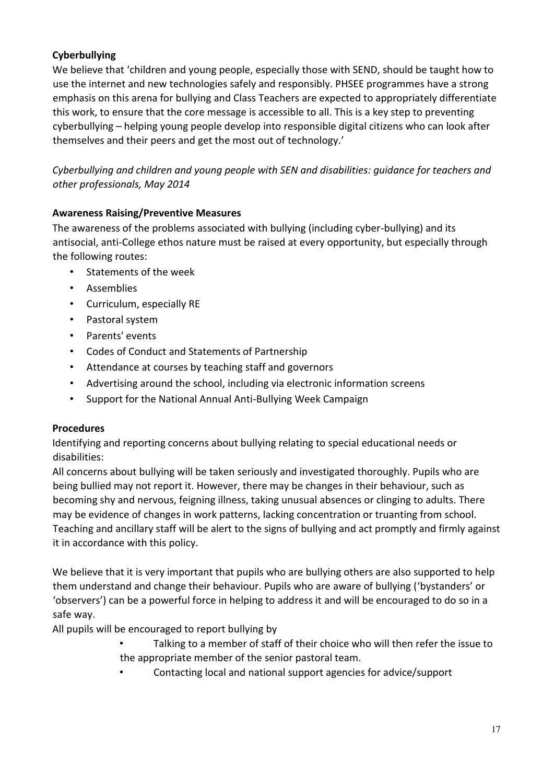## **Cyberbullying**

We believe that 'children and young people, especially those with SEND, should be taught how to use the internet and new technologies safely and responsibly. PHSEE programmes have a strong emphasis on this arena for bullying and Class Teachers are expected to appropriately differentiate this work, to ensure that the core message is accessible to all. This is a key step to preventing cyberbullying – helping young people develop into responsible digital citizens who can look after themselves and their peers and get the most out of technology.'

*Cyberbullying and children and young people with SEN and disabilities: guidance for teachers and other professionals, May 2014* 

## **Awareness Raising/Preventive Measures**

The awareness of the problems associated with bullying (including cyber-bullying) and its antisocial, anti-College ethos nature must be raised at every opportunity, but especially through the following routes:

- Statements of the week
- Assemblies
- Curriculum, especially RE
- Pastoral system
- Parents' events
- Codes of Conduct and Statements of Partnership
- Attendance at courses by teaching staff and governors
- Advertising around the school, including via electronic information screens
- Support for the National Annual Anti-Bullying Week Campaign

## **Procedures**

Identifying and reporting concerns about bullying relating to special educational needs or disabilities:

All concerns about bullying will be taken seriously and investigated thoroughly. Pupils who are being bullied may not report it. However, there may be changes in their behaviour, such as becoming shy and nervous, feigning illness, taking unusual absences or clinging to adults. There may be evidence of changes in work patterns, lacking concentration or truanting from school. Teaching and ancillary staff will be alert to the signs of bullying and act promptly and firmly against it in accordance with this policy.

We believe that it is very important that pupils who are bullying others are also supported to help them understand and change their behaviour. Pupils who are aware of bullying ('bystanders' or 'observers') can be a powerful force in helping to address it and will be encouraged to do so in a safe way.

All pupils will be encouraged to report bullying by

- Talking to a member of staff of their choice who will then refer the issue to the appropriate member of the senior pastoral team.
	- Contacting local and national support agencies for advice/support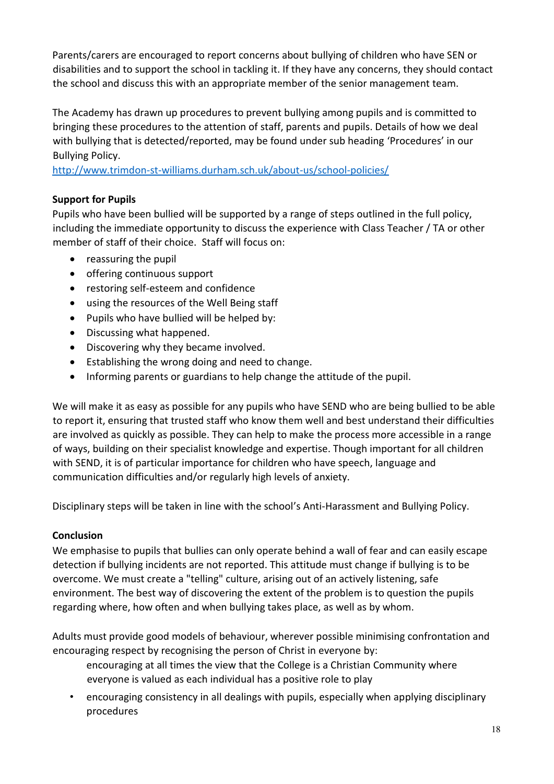Parents/carers are encouraged to report concerns about bullying of children who have SEN or disabilities and to support the school in tackling it. If they have any concerns, they should contact the school and discuss this with an appropriate member of the senior management team.

The Academy has drawn up procedures to prevent bullying among pupils and is committed to bringing these procedures to the attention of staff, parents and pupils. Details of how we deal with bullying that is detected/reported, may be found under sub heading 'Procedures' in our Bullying Policy.

<http://www.trimdon-st-williams.durham.sch.uk/about-us/school-policies/>

## **Support for Pupils**

Pupils who have been bullied will be supported by a range of steps outlined in the full policy, including the immediate opportunity to discuss the experience with Class Teacher / TA or other member of staff of their choice. Staff will focus on:

- reassuring the pupil
- offering continuous support
- restoring self-esteem and confidence
- using the resources of the Well Being staff
- Pupils who have bullied will be helped by:
- Discussing what happened.
- Discovering why they became involved.
- Establishing the wrong doing and need to change.
- Informing parents or guardians to help change the attitude of the pupil.

We will make it as easy as possible for any pupils who have SEND who are being bullied to be able to report it, ensuring that trusted staff who know them well and best understand their difficulties are involved as quickly as possible. They can help to make the process more accessible in a range of ways, building on their specialist knowledge and expertise. Though important for all children with SEND, it is of particular importance for children who have speech, language and communication difficulties and/or regularly high levels of anxiety.

Disciplinary steps will be taken in line with the school's Anti-Harassment and Bullying Policy.

## **Conclusion**

We emphasise to pupils that bullies can only operate behind a wall of fear and can easily escape detection if bullying incidents are not reported. This attitude must change if bullying is to be overcome. We must create a "telling" culture, arising out of an actively listening, safe environment. The best way of discovering the extent of the problem is to question the pupils regarding where, how often and when bullying takes place, as well as by whom.

Adults must provide good models of behaviour, wherever possible minimising confrontation and encouraging respect by recognising the person of Christ in everyone by:

encouraging at all times the view that the College is a Christian Community where everyone is valued as each individual has a positive role to play

• encouraging consistency in all dealings with pupils, especially when applying disciplinary procedures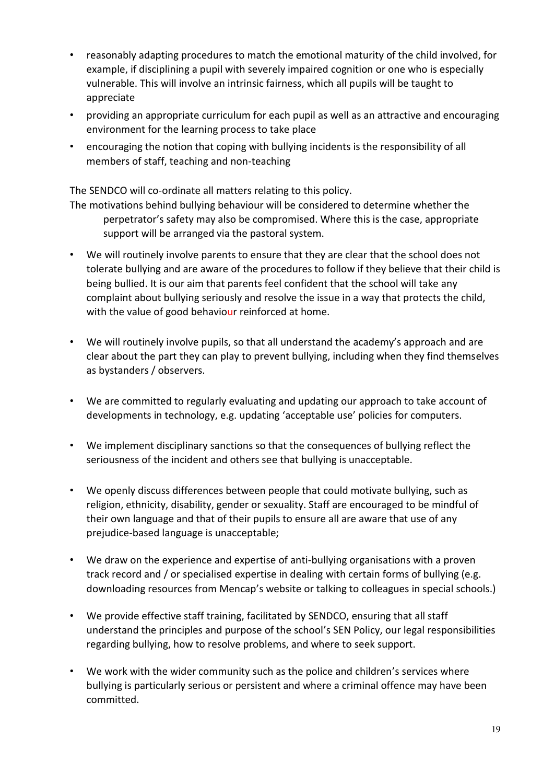- reasonably adapting procedures to match the emotional maturity of the child involved, for example, if disciplining a pupil with severely impaired cognition or one who is especially vulnerable. This will involve an intrinsic fairness, which all pupils will be taught to appreciate
- providing an appropriate curriculum for each pupil as well as an attractive and encouraging environment for the learning process to take place
- encouraging the notion that coping with bullying incidents is the responsibility of all members of staff, teaching and non-teaching

The SENDCO will co-ordinate all matters relating to this policy.

The motivations behind bullying behaviour will be considered to determine whether the perpetrator's safety may also be compromised. Where this is the case, appropriate support will be arranged via the pastoral system.

- We will routinely involve parents to ensure that they are clear that the school does not tolerate bullying and are aware of the procedures to follow if they believe that their child is being bullied. It is our aim that parents feel confident that the school will take any complaint about bullying seriously and resolve the issue in a way that protects the child, with the value of good behaviour reinforced at home.
- We will routinely involve pupils, so that all understand the academy's approach and are clear about the part they can play to prevent bullying, including when they find themselves as bystanders / observers.
- We are committed to regularly evaluating and updating our approach to take account of developments in technology, e.g. updating 'acceptable use' policies for computers.
- We implement disciplinary sanctions so that the consequences of bullying reflect the seriousness of the incident and others see that bullying is unacceptable.
- We openly discuss differences between people that could motivate bullying, such as religion, ethnicity, disability, gender or sexuality. Staff are encouraged to be mindful of their own language and that of their pupils to ensure all are aware that use of any prejudice-based language is unacceptable;
- We draw on the experience and expertise of anti-bullying organisations with a proven track record and / or specialised expertise in dealing with certain forms of bullying (e.g. downloading resources from Mencap's website or talking to colleagues in special schools.)
- We provide effective staff training, facilitated by SENDCO, ensuring that all staff understand the principles and purpose of the school's SEN Policy, our legal responsibilities regarding bullying, how to resolve problems, and where to seek support.
- We work with the wider community such as the police and children's services where bullying is particularly serious or persistent and where a criminal offence may have been committed.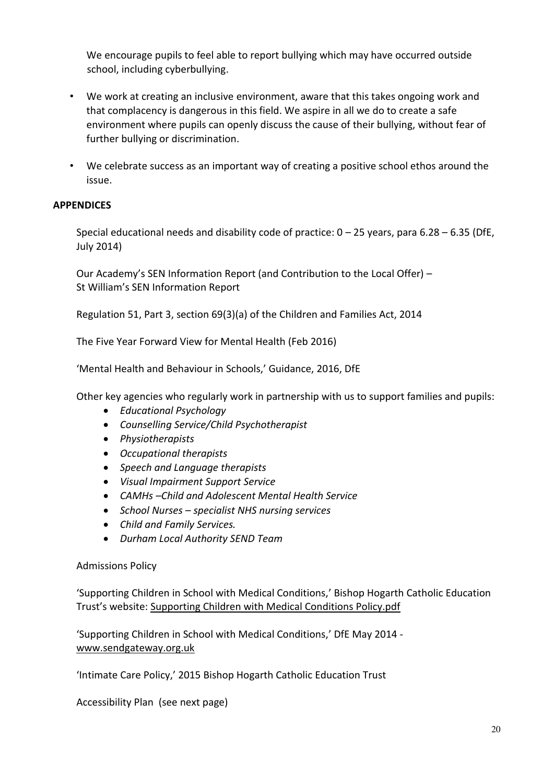We encourage pupils to feel able to report bullying which may have occurred outside school, including cyberbullying.

- We work at creating an inclusive environment, aware that this takes ongoing work and that complacency is dangerous in this field. We aspire in all we do to create a safe environment where pupils can openly discuss the cause of their bullying, without fear of further bullying or discrimination.
- We celebrate success as an important way of creating a positive school ethos around the issue.

## **APPENDICES**

Special educational needs and disability code of practice:  $0 - 25$  years, para 6.28 – 6.35 (DfE, July 2014)

Our Academy's SEN Information Report (and Contribution to the Local Offer) – St William's SEN Information Report

Regulation 51, Part 3, section 69(3)(a) of the Children and Families Act, 2014

The Five Year Forward View for Mental Health (Feb 2016)

'Mental Health and Behaviour in Schools,' Guidance, 2016, DfE

Other key agencies who regularly work in partnership with us to support families and pupils:

- *Educational Psychology*
- *Counselling Service/Child Psychotherapist*
- *Physiotherapists*
- *Occupational therapists*
- *Speech and Language therapists*
- *Visual Impairment Support Service*
- *CAMHs –Child and Adolescent Mental Health Service*
- *School Nurses – specialist NHS nursing services*
- *Child and Family Services.*
- *Durham Local Authority SEND Team*

#### Admissions Policy

'Supporting Children in School with Medical Conditions,' Bishop Hogarth Catholic Education Trust's website: [Supporting Children with Medical Conditions Policy.pdf](http://carmel.org.uk/wp-content/uploads/2015/04/Medical-Conditions-Policy.pdf)

'Supporting Children in School with Medical Conditions,' DfE May 2014 [www.sendgateway.org.uk](http://www.sendgateway.org.uk/)

'Intimate Care Policy,' 2015 Bishop Hogarth Catholic Education Trust

Accessibility Plan (see next page)